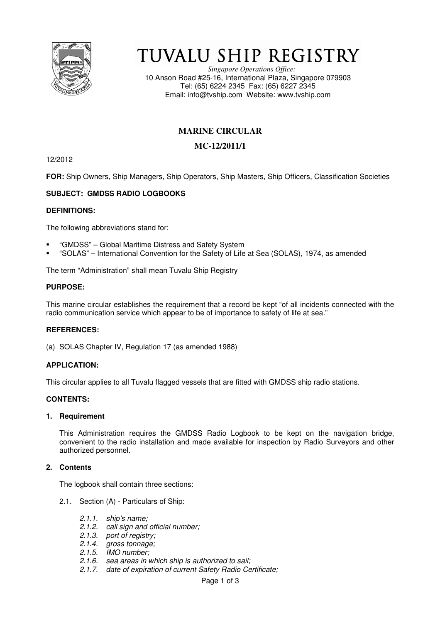

# TUVALU SHIP REGISTRY

*Singapore Operations Office:* 10 Anson Road #25-16, International Plaza, Singapore 079903 Tel: (65) 6224 2345 Fax: (65) 6227 2345 Email: info@tvship.com Website: www.tvship.com

# **MARINE CIRCULAR**

# **MC-12/2011/1**

12/2012

**FOR:** Ship Owners, Ship Managers, Ship Operators, Ship Masters, Ship Officers, Classification Societies

# **SUBJECT: GMDSS RADIO LOGBOOKS**

## **DEFINITIONS:**

The following abbreviations stand for:

- "GMDSS" Global Maritime Distress and Safety System
- "SOLAS" International Convention for the Safety of Life at Sea (SOLAS), 1974, as amended

The term "Administration" shall mean Tuvalu Ship Registry

### **PURPOSE:**

This marine circular establishes the requirement that a record be kept "of all incidents connected with the radio communication service which appear to be of importance to safety of life at sea."

## **REFERENCES:**

(a) SOLAS Chapter IV, Regulation 17 (as amended 1988)

## **APPLICATION:**

This circular applies to all Tuvalu flagged vessels that are fitted with GMDSS ship radio stations.

### **CONTENTS:**

### **1. Requirement**

This Administration requires the GMDSS Radio Logbook to be kept on the navigation bridge, convenient to the radio installation and made available for inspection by Radio Surveyors and other authorized personnel.

### **2. Contents**

The logbook shall contain three sections:

- 2.1. Section (A) Particulars of Ship:
	- *2.1.1. ship's name;*
	- *2.1.2. call sign and official number;*
	- *2.1.3. port of registry;*
	- *2.1.4. gross tonnage;*
	- *2.1.5. IMO number;*
	- *2.1.6. sea areas in which ship is authorized to sail;*
	- *2.1.7. date of expiration of current Safety Radio Certificate;*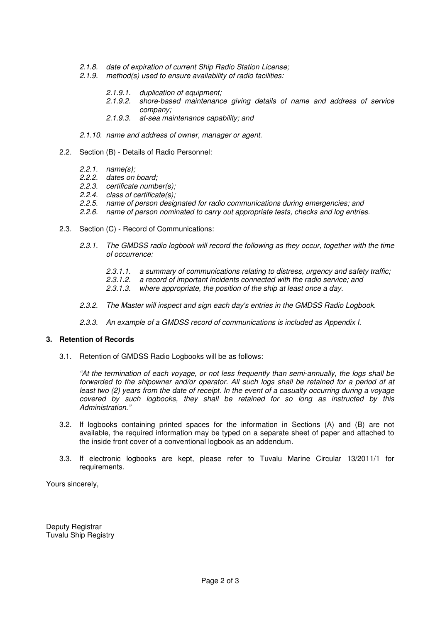- *2.1.8. date of expiration of current Ship Radio Station License;*
- *2.1.9. method(s) used to ensure availability of radio facilities:*
	- *2.1.9.1. duplication of equipment;*
	- *2.1.9.2. shore-based maintenance giving details of name and address of service company;*
	- *2.1.9.3. at-sea maintenance capability; and*
- *2.1.10. name and address of owner, manager or agent.*
- 2.2. Section (B) Details of Radio Personnel:
	- *2.2.1. name(s);*
	- *2.2.2. dates on board;*
	- *2.2.3. certificate number(s);*
	- *2.2.4. class of certificate(s);*
	- *2.2.5. name of person designated for radio communications during emergencies; and*
	- 2.2.6. name of person nominated to carry out appropriate tests, checks and log entries.
- 2.3. Section (C) Record of Communications:
	- *2.3.1. The GMDSS radio logbook will record the following as they occur, together with the time of occurrence:* 
		- *2.3.1.1. a summary of communications relating to distress, urgency and safety traffic;*
		- *2.3.1.2. a record of important incidents connected with the radio service; and*
		- *2.3.1.3. where appropriate, the position of the ship at least once a day.*
	- *2.3.2. The Master will inspect and sign each day's entries in the GMDSS Radio Logbook.*
	- *2.3.3. An example of a GMDSS record of communications is included as Appendix I.*

### **3. Retention of Records**

3.1. Retention of GMDSS Radio Logbooks will be as follows:

*"At the termination of each voyage, or not less frequently than semi-annually, the logs shall be forwarded to the shipowner and/or operator. All such logs shall be retained for a period of at least two (2) years from the date of receipt. In the event of a casualty occurring during a voyage covered by such logbooks, they shall be retained for so long as instructed by this Administration."* 

- 3.2. If logbooks containing printed spaces for the information in Sections (A) and (B) are not available, the required information may be typed on a separate sheet of paper and attached to the inside front cover of a conventional logbook as an addendum.
- 3.3. If electronic logbooks are kept, please refer to Tuvalu Marine Circular 13/2011/1 for requirements.

Yours sincerely,

Deputy Registrar Tuvalu Ship Registry